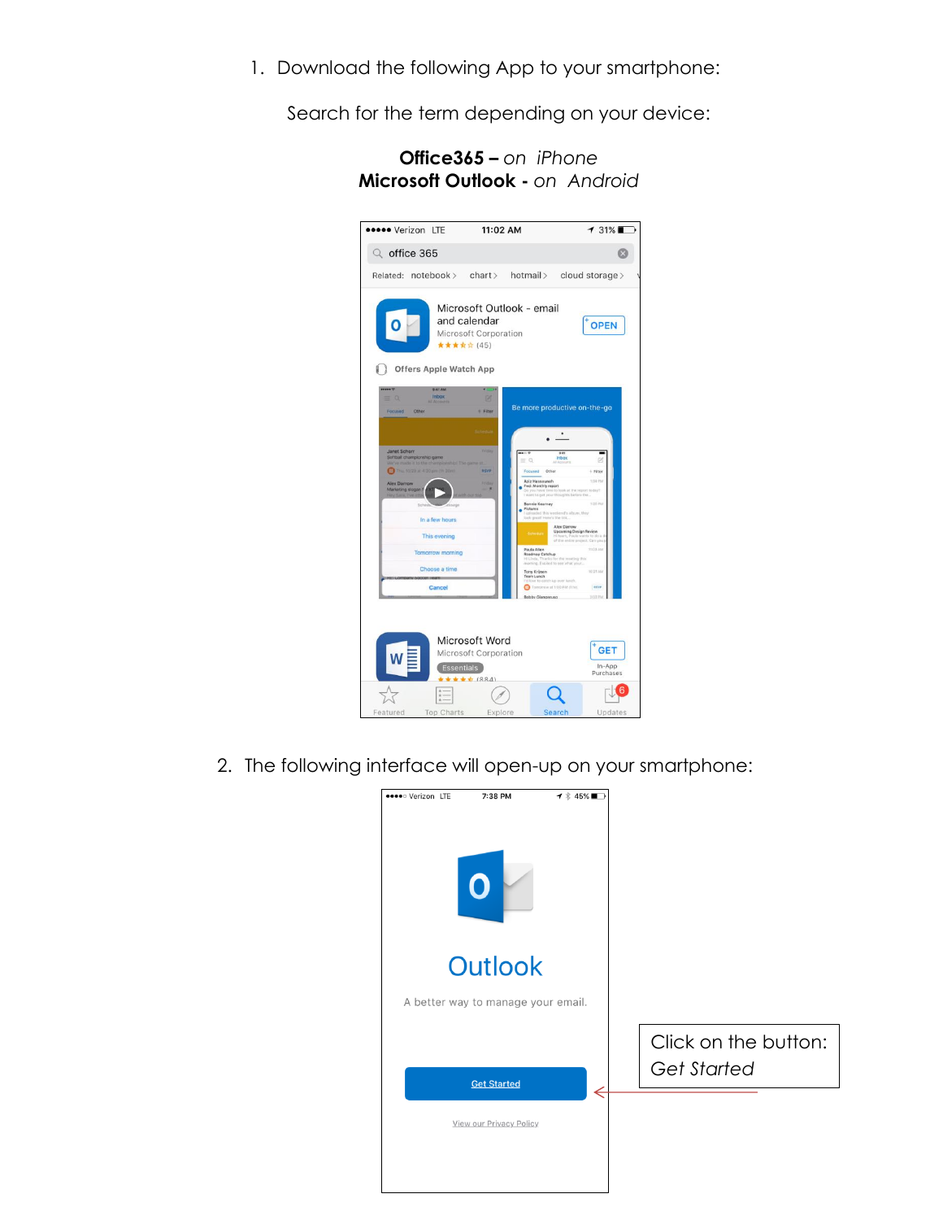1. Download the following App to your smartphone:

Search for the term depending on your device:

| <b>*****</b> Verizon LTE                                                                                                          |                                | 11:02 AM                                                  |                                                                                         |                                                                                                                                | $131\%$                           |  |
|-----------------------------------------------------------------------------------------------------------------------------------|--------------------------------|-----------------------------------------------------------|-----------------------------------------------------------------------------------------|--------------------------------------------------------------------------------------------------------------------------------|-----------------------------------|--|
| $Q$ office 365                                                                                                                    |                                |                                                           |                                                                                         |                                                                                                                                | G                                 |  |
| Related: notebook >                                                                                                               |                                | chart                                                     | hotmail >                                                                               |                                                                                                                                | cloud storage >                   |  |
|                                                                                                                                   | <b>Offers Apple Watch App</b>  | and calendar<br>Microsoft Corporation<br>★★★ ☆ ☆ (45)     | Microsoft Outlook - email                                                               |                                                                                                                                | <b>OPEN</b>                       |  |
| $= 0$<br>Focused<br>Other                                                                                                         | 9:41 AM<br>Inbox<br>Annexin    | ы<br>+ Filter                                             | Be more productive on-the-go                                                            | ٠                                                                                                                              |                                   |  |
| <b>Janet Schorr</b><br>Softball championship game<br>We've made it to the championship! The game<br>This 10/29 at 4:30 pm (1h 30) |                                | <b>Printing</b><br>RSVP                                   | $\equiv$ Q<br>Focused<br>Other<br>Aziz Hassouneh                                        | 941<br><b>Inbox</b>                                                                                                            | 図<br>$+$ Fiber<br><b>TOLE PM</b>  |  |
| <b>Alex Darrow</b><br>Marketing slogan f<br>Sich                                                                                  |                                | <b>Cold Ave</b><br>$\sim$                                 | Fwd: Monthly report<br><b>Bonnie Kearney</b><br>Pictures<br>look great! Here's the link | To you have time to look at the report today?<br>I want to get your thoughts before the<br>uploaded this weekend's album, they | 1/20 PM                           |  |
|                                                                                                                                   | In a few hours<br>This evening |                                                           |                                                                                         | Alex Darrow<br><b>Upcoming Design Review</b><br>Hi-team, Paula wants to do a d<br>of the entire project, Can you p             |                                   |  |
|                                                                                                                                   | <b>Tomorrow morning</b>        |                                                           | Paula Allen<br>Roadmap Catchup                                                          | Hi Linda, Thanks for the meeting this                                                                                          | 11/23 AM                          |  |
|                                                                                                                                   | Choose a time                  |                                                           | Tony Krijnon<br>Team Lunch<br>I'd fove to catch up over lunch.                          | inoming. Excited to see what your                                                                                              | 10:21 AM                          |  |
|                                                                                                                                   | Cancel                         |                                                           | <b>Bobby Giangeruso</b>                                                                 | Tomorrow at 1:00 PM (1 hr)                                                                                                     | asyr<br>3 03 PM                   |  |
|                                                                                                                                   | <b>Essentials</b><br>$+ -$     | Microsoft Word<br>Microsoft Corporation<br>$+ + + + 1884$ |                                                                                         |                                                                                                                                | <b>GET</b><br>In-App<br>Purchases |  |
| Featured                                                                                                                          | Top Charts                     | Explore                                                   |                                                                                         | Search                                                                                                                         | Updates                           |  |

**Office365 –** *on iPhone* **Microsoft Outlook -** *on Android*

2. The following interface will open-up on your smartphone:

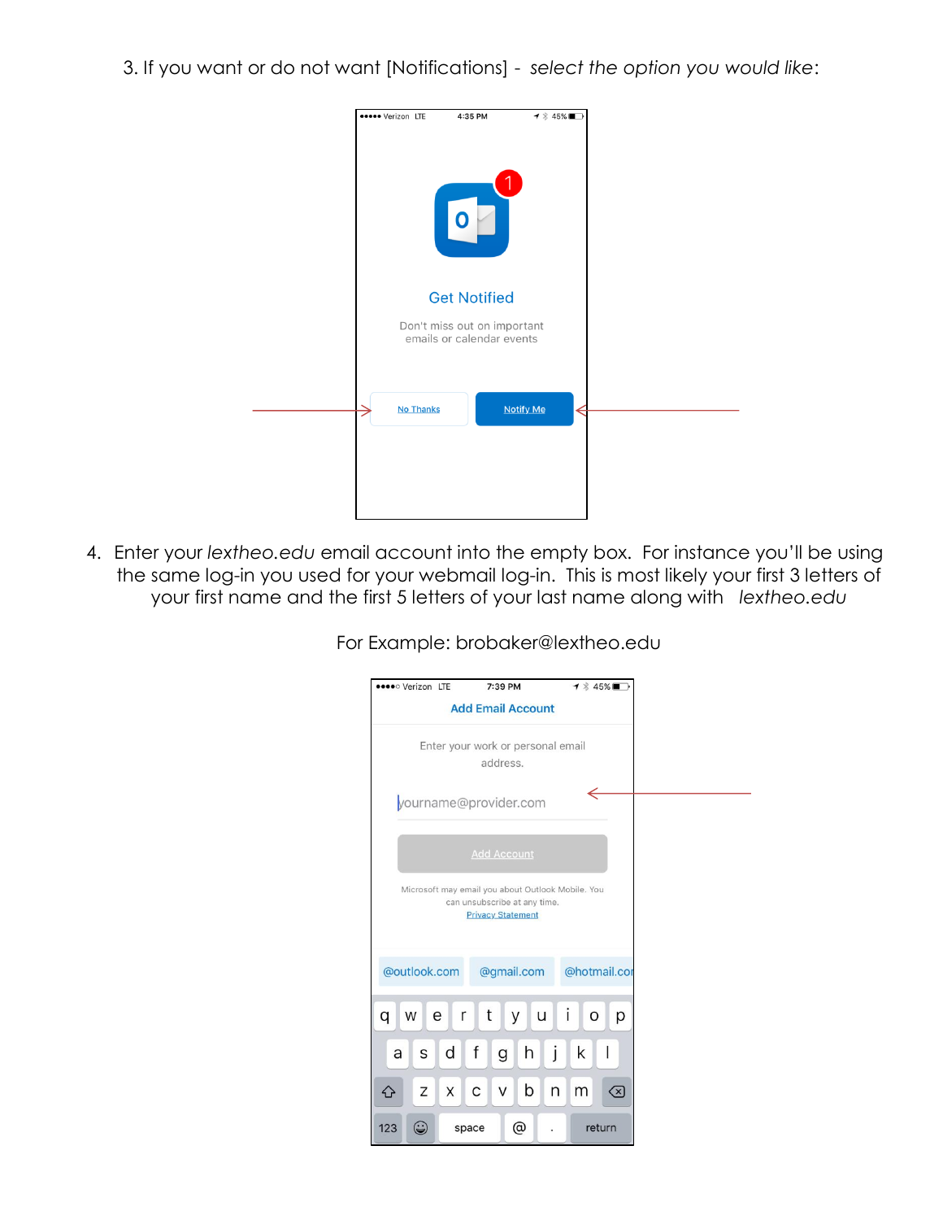3. If you want or do not want [Notifications] - *select the option you would like*:



4. Enter your *lextheo.edu* email account into the empty box. For instance you'll be using the same log-in you used for your webmail log-in. This is most likely your first 3 letters of your first name and the first 5 letters of your last name along with *lextheo.edu*

For Example: brobaker@lextheo.edu

| <b>Deed</b> Verizon LTE                                                                                       | 7:39 PM                  | 1 % 45%■      |  |  |  |  |  |
|---------------------------------------------------------------------------------------------------------------|--------------------------|---------------|--|--|--|--|--|
|                                                                                                               | <b>Add Email Account</b> |               |  |  |  |  |  |
| Enter your work or personal email<br>address.                                                                 |                          |               |  |  |  |  |  |
| yourname@provider.com                                                                                         |                          |               |  |  |  |  |  |
|                                                                                                               | <b>Add Account</b>       |               |  |  |  |  |  |
| Microsoft may email you about Outlook Mobile. You<br>can unsubscribe at any time.<br><b>Privacy Statement</b> |                          |               |  |  |  |  |  |
| @outlook.com<br>@hotmail.cor<br>@gmail.com                                                                    |                          |               |  |  |  |  |  |
| W<br>q<br>e<br>r                                                                                              | t<br>У<br>u              | i<br>р<br>O   |  |  |  |  |  |
| d<br>S<br>a                                                                                                   | f<br>h<br>g              | j<br>k        |  |  |  |  |  |
| Ζ<br>X<br>↷                                                                                                   | b<br>C<br>V              | n<br>m<br><×) |  |  |  |  |  |
| ۲<br>123<br>space                                                                                             | @                        | return        |  |  |  |  |  |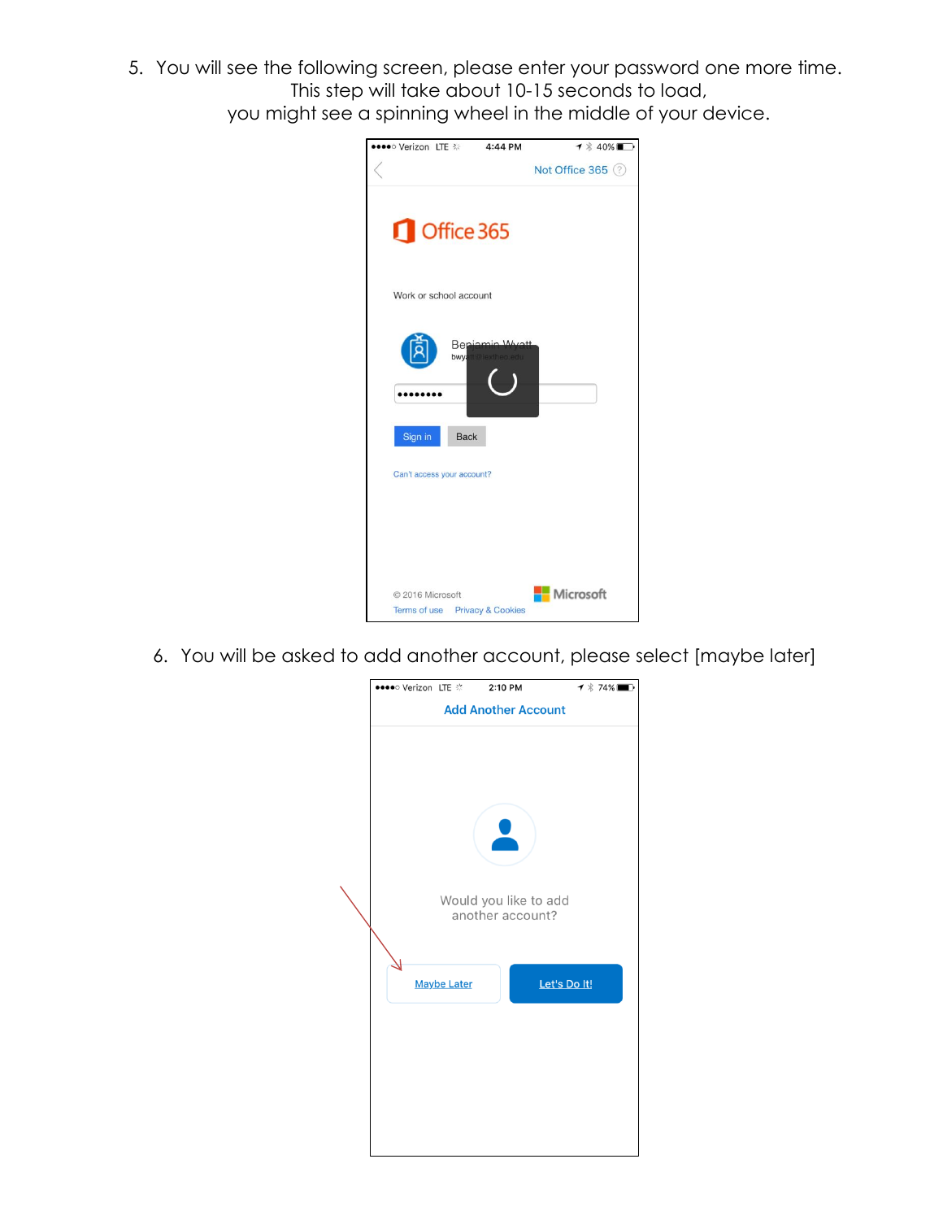5. You will see the following screen, please enter your password one more time. This step will take about 10-15 seconds to load, you might see a spinning wheel in the middle of your device.

| <b>••••</b> ○ Verizon LTE % |                            | 4:44 PM                        | $\blacktriangledown$ $\ast$ 40% |
|-----------------------------|----------------------------|--------------------------------|---------------------------------|
|                             |                            |                                | Not Office 365 (?)              |
|                             | Office 365                 |                                |                                 |
|                             | Work or school account     |                                |                                 |
|                             | Bei<br>bwy.                | $M_{10}$                       |                                 |
| Sign in                     | <b>Back</b>                |                                |                                 |
|                             | Can't access your account? |                                |                                 |
|                             |                            |                                |                                 |
|                             |                            |                                |                                 |
| © 2016 Microsoft            |                            | Terms of use Privacy & Cookies | Microsoft                       |

6. You will be asked to add another account, please select [maybe later]

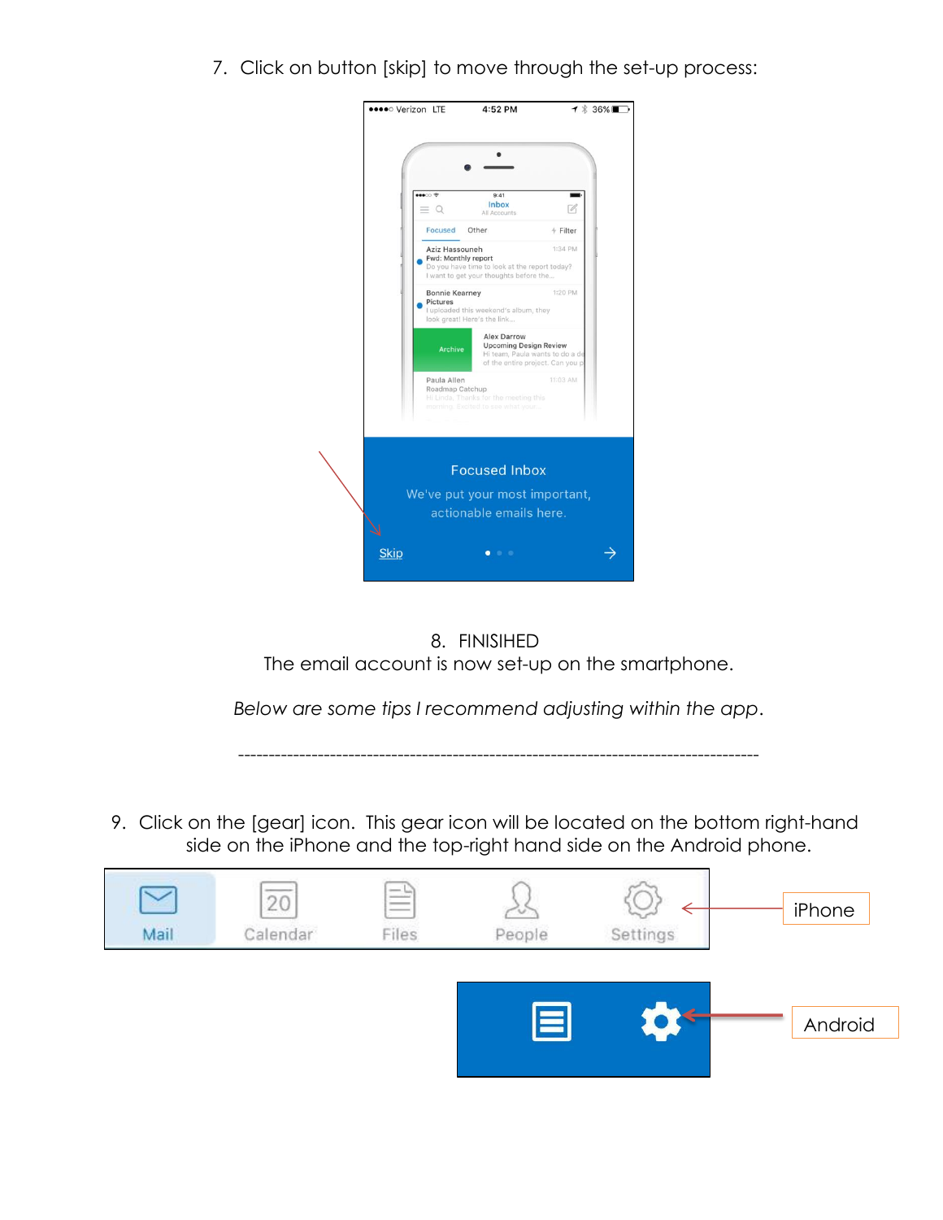7. Click on button [skip] to move through the set-up process:



8. FINISIHED The email account is now set-up on the smartphone.

*Below are some tips I recommend adjusting within the app*.

-------------------------------------------------------------------------------------

9. Click on the [gear] icon. This gear icon will be located on the bottom right-hand side on the iPhone and the top-right hand side on the Android phone.